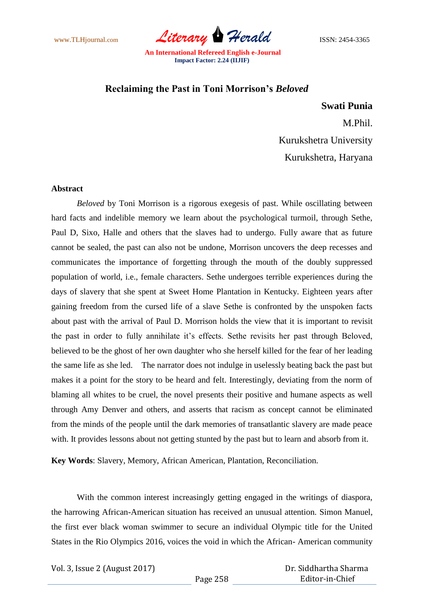www.TLHjournal.com *Literary Herald* ISSN: 2454-3365

## **Reclaiming the Past in Toni Morrison's** *Beloved*

## **Swati Punia**

M.Phil. Kurukshetra University Kurukshetra, Haryana

## **Abstract**

*Beloved* by Toni Morrison is a rigorous exegesis of past. While oscillating between hard facts and indelible memory we learn about the psychological turmoil, through Sethe, Paul D, Sixo, Halle and others that the slaves had to undergo. Fully aware that as future cannot be sealed, the past can also not be undone, Morrison uncovers the deep recesses and communicates the importance of forgetting through the mouth of the doubly suppressed population of world, i.e., female characters. Sethe undergoes terrible experiences during the days of slavery that she spent at Sweet Home Plantation in Kentucky. Eighteen years after gaining freedom from the cursed life of a slave Sethe is confronted by the unspoken facts about past with the arrival of Paul D. Morrison holds the view that it is important to revisit the past in order to fully annihilate it's effects. Sethe revisits her past through Beloved, believed to be the ghost of her own daughter who she herself killed for the fear of her leading the same life as she led. The narrator does not indulge in uselessly beating back the past but makes it a point for the story to be heard and felt. Interestingly, deviating from the norm of blaming all whites to be cruel, the novel presents their positive and humane aspects as well through Amy Denver and others, and asserts that racism as concept cannot be eliminated from the minds of the people until the dark memories of transatlantic slavery are made peace with. It provides lessons about not getting stunted by the past but to learn and absorb from it.

**Key Words**: Slavery, Memory, African American, Plantation, Reconciliation.

With the common interest increasingly getting engaged in the writings of diaspora, the harrowing African-American situation has received an unusual attention. Simon Manuel, the first ever black woman swimmer to secure an individual Olympic title for the United States in the Rio Olympics 2016, voices the void in which the African- American community

Vol. 3, Issue 2 (August 2017)

 Dr. Siddhartha Sharma Editor-in-Chief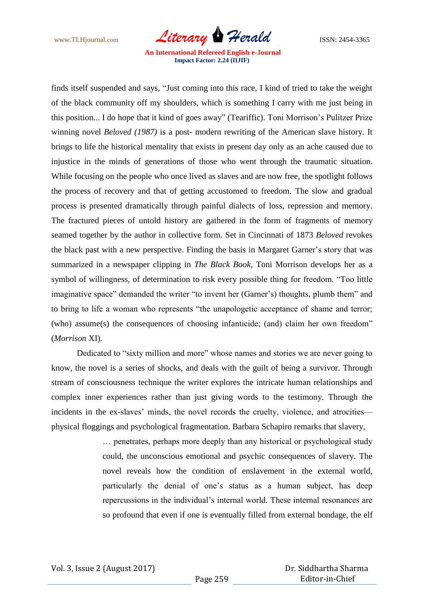www.TLHjournal.com *Literary Herald* ISSN: 2454-3365

finds itself suspended and says, "Just coming into this race, I kind of tried to take the weight of the black community off my shoulders, which is something I carry with me just being in this position... I do hope that it kind of goes away" (Teariffic). Toni Morrison"s Pulitzer Prize winning novel *Beloved (1987)* is a post- modern rewriting of the American slave history. It brings to life the historical mentality that exists in present day only as an ache caused due to injustice in the minds of generations of those who went through the traumatic situation. While focusing on the people who once lived as slaves and are now free, the spotlight follows the process of recovery and that of getting accustomed to freedom. The slow and gradual process is presented dramatically through painful dialects of loss, repression and memory. The fractured pieces of untold history are gathered in the form of fragments of memory seamed together by the author in collective form. Set in Cincinnati of 1873 *Beloved* revokes the black past with a new perspective. Finding the basis in Margaret Garner"s story that was summarized in a newspaper clipping in *The Black Book,* Toni Morrison develops her as a symbol of willingness, of determination to risk every possible thing for freedom. "Too little imaginative space" demanded the writer "to invent her (Garner's) thoughts, plumb them" and to bring to life a woman who represents "the unapologetic acceptance of shame and terror; (who) assume(s) the consequences of choosing infanticide; (and) claim her own freedom" (*Morrison* XI).

Dedicated to "sixty million and more" whose names and stories we are never going to know, the novel is a series of shocks, and deals with the guilt of being a survivor. Through stream of consciousness technique the writer explores the intricate human relationships and complex inner experiences rather than just giving words to the testimony. Through the incidents in the ex-slaves' minds, the novel records the cruelty, violence, and atrocities physical floggings and psychological fragmentation. Barbara Schapiro remarks that slavery,

> … penetrates, perhaps more deeply than any historical or psychological study could, the unconscious emotional and psychic consequences of slavery. The novel reveals how the condition of enslavement in the external world, particularly the denial of one"s status as a human subject, has deep repercussions in the individual"s internal world. These internal resonances are so profound that even if one is eventually filled from external bondage, the elf

 Dr. Siddhartha Sharma Editor-in-Chief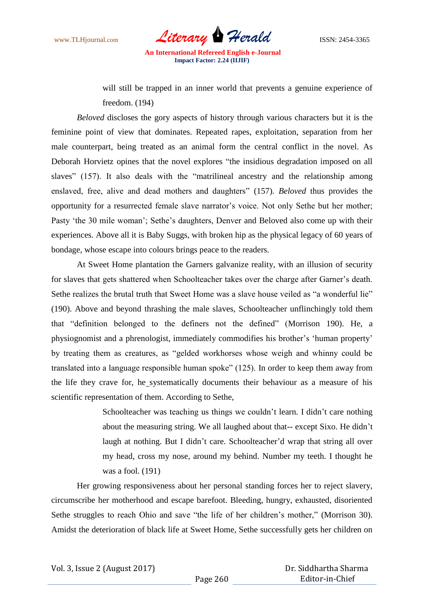www.TLHjournal.com *Literary Herald* ISSN: 2454-3365

will still be trapped in an inner world that prevents a genuine experience of freedom. (194)

*Beloved* discloses the gory aspects of history through various characters but it is the feminine point of view that dominates. Repeated rapes, exploitation, separation from her male counterpart, being treated as an animal form the central conflict in the novel. As Deborah Horvietz opines that the novel explores "the insidious degradation imposed on all slaves" (157). It also deals with the "matrilineal ancestry and the relationship among enslaved, free, alive and dead mothers and daughters" (157). *Beloved* thus provides the opportunity for a resurrected female slave narrator's voice. Not only Sethe but her mother; Pasty 'the 30 mile woman'; Sethe's daughters, Denver and Beloved also come up with their experiences. Above all it is Baby Suggs, with broken hip as the physical legacy of 60 years of bondage, whose escape into colours brings peace to the readers.

At Sweet Home plantation the Garners galvanize reality, with an illusion of security for slaves that gets shattered when Schoolteacher takes over the charge after Garner's death. Sethe realizes the brutal truth that Sweet Home was a slave house veiled as "a wonderful lie" (190). Above and beyond thrashing the male slaves, Schoolteacher unflinchingly told them that "definition belonged to the definers not the defined" (Morrison 190). He, a physiognomist and a phrenologist, immediately commodifies his brother"s "human property" by treating them as creatures, as "gelded workhorses whose weigh and whinny could be translated into a language responsible human spoke" (125). In order to keep them away from the life they crave for, he systematically documents their behaviour as a measure of his scientific representation of them. According to Sethe,

> Schoolteacher was teaching us things we couldn't learn. I didn't care nothing about the measuring string. We all laughed about that-- except Sixo. He didn"t laugh at nothing. But I didn't care. Schoolteacher'd wrap that string all over my head, cross my nose, around my behind. Number my teeth. I thought he was a fool. (191)

Her growing responsiveness about her personal standing forces her to reject slavery, circumscribe her motherhood and escape barefoot. Bleeding, hungry, exhausted, disoriented Sethe struggles to reach Ohio and save "the life of her children"s mother," (Morrison 30). Amidst the deterioration of black life at Sweet Home, Sethe successfully gets her children on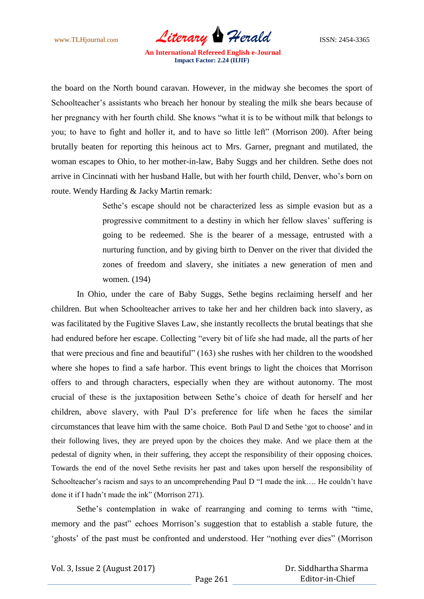www.TLHjournal.com *Literary Herald*ISSN: 2454-3365

the board on the North bound caravan. However, in the midway she becomes the sport of Schoolteacher's assistants who breach her honour by stealing the milk she bears because of her pregnancy with her fourth child. She knows "what it is to be without milk that belongs to you; to have to fight and holler it, and to have so little left" (Morrison 200). After being brutally beaten for reporting this heinous act to Mrs. Garner, pregnant and mutilated, the woman escapes to Ohio, to her mother-in-law, Baby Suggs and her children. Sethe does not arrive in Cincinnati with her husband Halle, but with her fourth child, Denver, who"s born on route. Wendy Harding & Jacky Martin remark:

> Sethe's escape should not be characterized less as simple evasion but as a progressive commitment to a destiny in which her fellow slaves" suffering is going to be redeemed. She is the bearer of a message, entrusted with a nurturing function, and by giving birth to Denver on the river that divided the zones of freedom and slavery, she initiates a new generation of men and women. (194)

In Ohio, under the care of Baby Suggs, Sethe begins reclaiming herself and her children. But when Schoolteacher arrives to take her and her children back into slavery, as was facilitated by the Fugitive Slaves Law, she instantly recollects the brutal beatings that she had endured before her escape. Collecting "every bit of life she had made, all the parts of her that were precious and fine and beautiful" (163) she rushes with her children to the woodshed where she hopes to find a safe harbor. This event brings to light the choices that Morrison offers to and through characters, especially when they are without autonomy. The most crucial of these is the juxtaposition between Sethe"s choice of death for herself and her children, above slavery, with Paul D"s preference for life when he faces the similar circumstances that leave him with the same choice. Both Paul D and Sethe "got to choose" and in their following lives, they are preyed upon by the choices they make. And we place them at the pedestal of dignity when, in their suffering, they accept the responsibility of their opposing choices. Towards the end of the novel Sethe revisits her past and takes upon herself the responsibility of Schoolteacher's racism and says to an uncomprehending Paul D "I made the ink.... He couldn't have done it if I hadn"t made the ink" (Morrison 271).

Sethe's contemplation in wake of rearranging and coming to terms with "time, memory and the past" echoes Morrison"s suggestion that to establish a stable future, the "ghosts" of the past must be confronted and understood. Her "nothing ever dies" (Morrison

 Dr. Siddhartha Sharma Editor-in-Chief

Page 261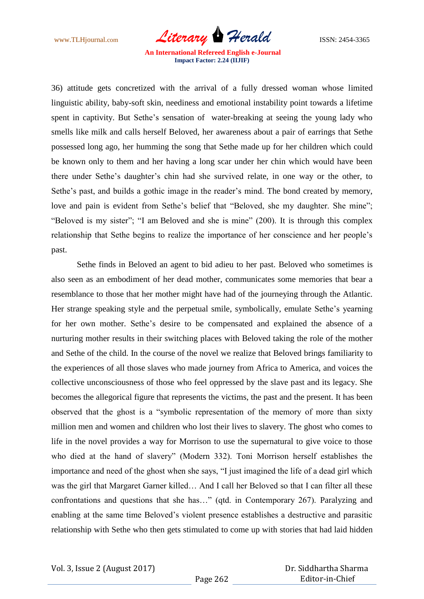www.TLHjournal.com *Literary Herald* ISSN: 2454-3365

36) attitude gets concretized with the arrival of a fully dressed woman whose limited linguistic ability, baby-soft skin, neediness and emotional instability point towards a lifetime spent in captivity. But Sethe"s sensation of water-breaking at seeing the young lady who smells like milk and calls herself Beloved, her awareness about a pair of earrings that Sethe possessed long ago, her humming the song that Sethe made up for her children which could be known only to them and her having a long scar under her chin which would have been there under Sethe"s daughter"s chin had she survived relate, in one way or the other, to Sethe's past, and builds a gothic image in the reader's mind. The bond created by memory, love and pain is evident from Sethe's belief that "Beloved, she my daughter. She mine"; "Beloved is my sister"; "I am Beloved and she is mine" (200). It is through this complex relationship that Sethe begins to realize the importance of her conscience and her people"s past.

Sethe finds in Beloved an agent to bid adieu to her past. Beloved who sometimes is also seen as an embodiment of her dead mother, communicates some memories that bear a resemblance to those that her mother might have had of the journeying through the Atlantic. Her strange speaking style and the perpetual smile, symbolically, emulate Sethe"s yearning for her own mother. Sethe"s desire to be compensated and explained the absence of a nurturing mother results in their switching places with Beloved taking the role of the mother and Sethe of the child. In the course of the novel we realize that Beloved brings familiarity to the experiences of all those slaves who made journey from Africa to America, and voices the collective unconsciousness of those who feel oppressed by the slave past and its legacy. She becomes the allegorical figure that represents the victims, the past and the present. It has been observed that the ghost is a "symbolic representation of the memory of more than sixty million men and women and children who lost their lives to slavery. The ghost who comes to life in the novel provides a way for Morrison to use the supernatural to give voice to those who died at the hand of slavery" (Modern 332). Toni Morrison herself establishes the importance and need of the ghost when she says, "I just imagined the life of a dead girl which was the girl that Margaret Garner killed… And I call her Beloved so that I can filter all these confrontations and questions that she has…" (qtd. in Contemporary 267). Paralyzing and enabling at the same time Beloved"s violent presence establishes a destructive and parasitic relationship with Sethe who then gets stimulated to come up with stories that had laid hidden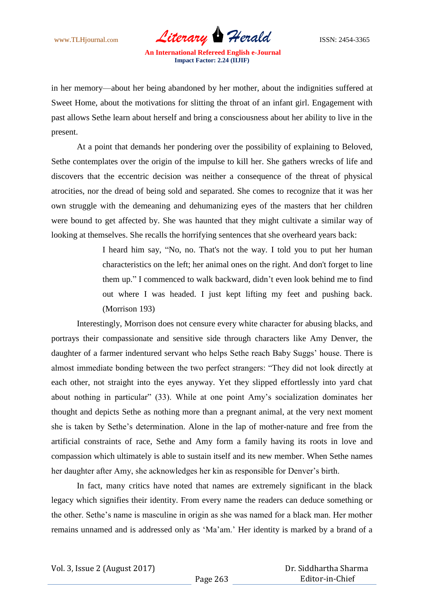www.TLHjournal.com *Literary Herald* ISSN: 2454-3365

in her memory—about her being abandoned by her mother, about the indignities suffered at Sweet Home, about the motivations for slitting the throat of an infant girl. Engagement with past allows Sethe learn about herself and bring a consciousness about her ability to live in the present.

At a point that demands her pondering over the possibility of explaining to Beloved, Sethe contemplates over the origin of the impulse to kill her. She gathers wrecks of life and discovers that the eccentric decision was neither a consequence of the threat of physical atrocities, nor the dread of being sold and separated. She comes to recognize that it was her own struggle with the demeaning and dehumanizing eyes of the masters that her children were bound to get affected by. She was haunted that they might cultivate a similar way of looking at themselves. She recalls the horrifying sentences that she overheard years back:

> I heard him say, "No, no. That's not the way. I told you to put her human characteristics on the left; her animal ones on the right. And don't forget to line them up." I commenced to walk backward, didn"t even look behind me to find out where I was headed. I just kept lifting my feet and pushing back. (Morrison 193)

Interestingly, Morrison does not censure every white character for abusing blacks, and portrays their compassionate and sensitive side through characters like Amy Denver, the daughter of a farmer indentured servant who helps Sethe reach Baby Suggs' house. There is almost immediate bonding between the two perfect strangers: "They did not look directly at each other, not straight into the eyes anyway. Yet they slipped effortlessly into yard chat about nothing in particular" (33). While at one point Amy"s socialization dominates her thought and depicts Sethe as nothing more than a pregnant animal, at the very next moment she is taken by Sethe"s determination. Alone in the lap of mother-nature and free from the artificial constraints of race, Sethe and Amy form a family having its roots in love and compassion which ultimately is able to sustain itself and its new member. When Sethe names her daughter after Amy, she acknowledges her kin as responsible for Denver's birth.

In fact, many critics have noted that names are extremely significant in the black legacy which signifies their identity. From every name the readers can deduce something or the other. Sethe"s name is masculine in origin as she was named for a black man. Her mother remains unnamed and is addressed only as "Ma"am." Her identity is marked by a brand of a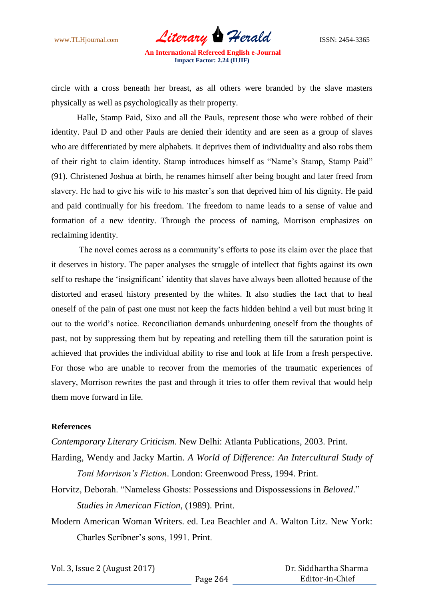www.TLHjournal.com *Literary Herald* ISSN: 2454-3365

circle with a cross beneath her breast, as all others were branded by the slave masters physically as well as psychologically as their property.

Halle, Stamp Paid, Sixo and all the Pauls, represent those who were robbed of their identity. Paul D and other Pauls are denied their identity and are seen as a group of slaves who are differentiated by mere alphabets. It deprives them of individuality and also robs them of their right to claim identity. Stamp introduces himself as "Name"s Stamp, Stamp Paid" (91). Christened Joshua at birth, he renames himself after being bought and later freed from slavery. He had to give his wife to his master's son that deprived him of his dignity. He paid and paid continually for his freedom. The freedom to name leads to a sense of value and formation of a new identity. Through the process of naming, Morrison emphasizes on reclaiming identity.

The novel comes across as a community"s efforts to pose its claim over the place that it deserves in history. The paper analyses the struggle of intellect that fights against its own self to reshape the 'insignificant' identity that slaves have always been allotted because of the distorted and erased history presented by the whites. It also studies the fact that to heal oneself of the pain of past one must not keep the facts hidden behind a veil but must bring it out to the world"s notice. Reconciliation demands unburdening oneself from the thoughts of past, not by suppressing them but by repeating and retelling them till the saturation point is achieved that provides the individual ability to rise and look at life from a fresh perspective. For those who are unable to recover from the memories of the traumatic experiences of slavery, Morrison rewrites the past and through it tries to offer them revival that would help them move forward in life.

## **References**

*Contemporary Literary Criticism*. New Delhi: Atlanta Publications, 2003. Print.

- Harding, Wendy and Jacky Martin. *A World of Difference: An Intercultural Study of Toni Morrison's Fiction*. London: Greenwood Press, 1994. Print.
- Horvitz, Deborah. "Nameless Ghosts: Possessions and Dispossessions in *Beloved*." *Studies in American Fiction*, (1989). Print.
- Modern American Woman Writers. ed. Lea Beachler and A. Walton Litz. New York: Charles Scribner"s sons, 1991. Print.

Vol. 3, Issue 2 (August 2017)

 Dr. Siddhartha Sharma Editor-in-Chief